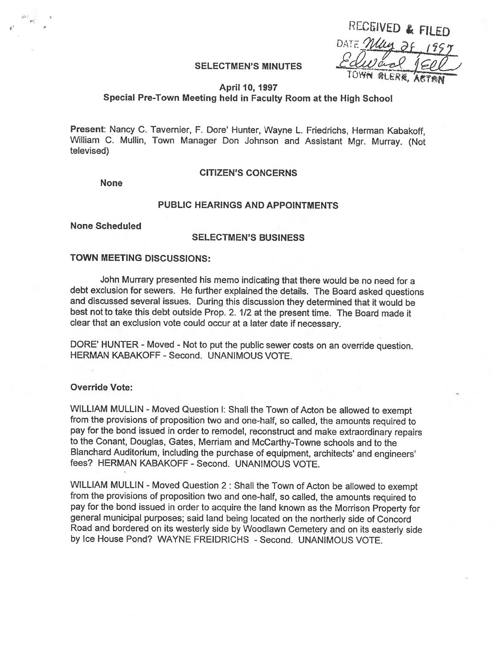| RECEIVED & FILED  |     |
|-------------------|-----|
| DATE May 28, 1957 |     |
| Edward            | 50V |
| TOWN @LERK,       |     |

### SELECTMEN'S MINUTES

#### April 10, 1997

# Special Pre-Town Meeting held in Faculty Room at the High School

Present: Nancy C. Tavernier, F. Dore' Hunter, Wayne L. Friedrichs, Herman Kabakoff, William C. Mullin, Town Manager Don Johnson and Assistant Mgr. Murray. (Not televised)

None

# CITIZEN'S CONCERNS

### PUBLIC HEARINGS AND APPOINTMENTS

None Scheduled

### SELECTMEN'S BUSINESS

# TOWN MEETING DISCUSSIONS:

John Murrary presented his memo indicating that there would be no need for <sup>a</sup> debt exclusion for sewers. He further explained the details. The Board asked questions and discussed several issues. During this discussion they determined that it would be best not to take this debt outside Prop. 2. 1/2 at the present time. The Board made it clear that an exclusion vote could occur at <sup>a</sup> later date if necessary.

DORE' HUNTER - Moved - Not to put the public sewer costs on an override question. HERMAN KABAKOFF - Second. UNANIMOUS VOTE.

### Override Vote:

WILLIAM MULLIN - Moved Question I: Shall the Town of Acton be allowed to exempt from the provisions of proposition two and one-half, so called, the amounts required to pay for the bond issued in order to remodel, reconstruct and make extraordinary repairs to the Conant, Douglas, Gates, Merriam and McCarthy-Towne schools and to the Blanchard Auditorium, including the purchase of equipment, architects' and engineers' fees? HERMAN KABAKOFF - Second. UNANIMOUS VOTE.

WILLIAM MULLIN - Moved Question 2: Shall the Town of Acton be allowed to exempt from the provisions of proposition two and one-half, so called, the amounts required to pay for the bond issued in order to acquire the land known as the Morrison Property for general municipal purposes; said land being located on the northerly side of Concord Road and bordered on its westerly side by Woodlawn Cemetery and on its easterly side by Ice House Pond? WAYNE FREIDRICHS - Second. UNANIMOUS VOTE.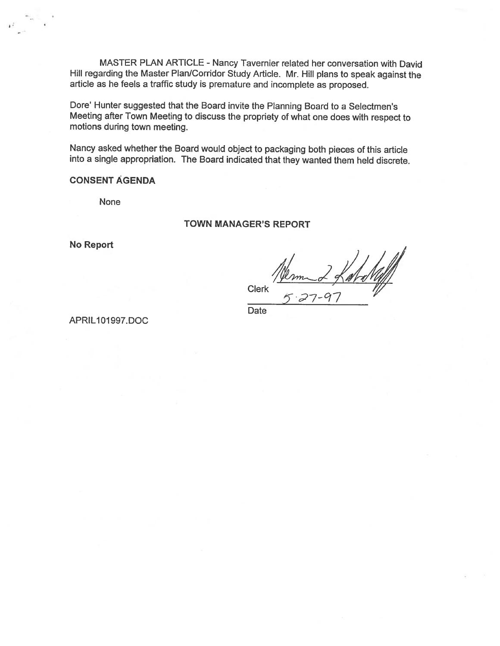MASTER PLAN ARTICLE - Nancy Tavernier related her conversation with David Hill regarding the Master Plan/Corridor Study Article. Mr. Hill <sup>p</sup>lans to speak against the article as he feels <sup>a</sup> traffic study is premature and incomplete as proposed.

Dore' Hunter suggested that the Board invite the Planning Board to <sup>a</sup> Selectmen's Meeting after Town Meeting to discuss the propriety of what one does with respect to motions during town meeting.

Nancy asked whether the Board would object to packaging both <sup>p</sup>ieces of this article into <sup>a</sup> single appropriation. The Board indicated that they wanted them held discrete.

# CONSENT AGENDA

None

## TOWN MANAGER'S REPORT

No Report

Clerk

Date

APRIL101997.DOC